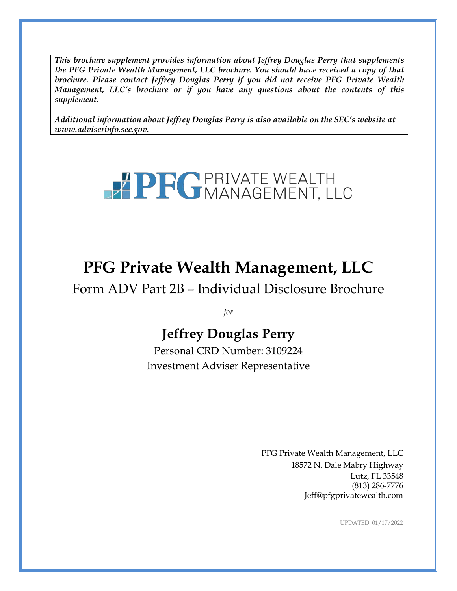*This brochure supplement provides information about Jeffrey Douglas Perry that supplements the PFG Private Wealth Management, LLC brochure. You should have received a copy of that brochure. Please contact Jeffrey Douglas Perry if you did not receive PFG Private Wealth Management, LLC's brochure or if you have any questions about the contents of this supplement.*

*Additional information about Jeffrey Douglas Perry is also available on the SEC's website at [www.adviserinfo.sec.gov.](http://www.adviserinfo.sec.gov/)*

# **PPFGPRIVATE WEALTH**

# **PFG Private Wealth Management, LLC**

Form ADV Part 2B – Individual Disclosure Brochure

*for*

# **Jeffrey Douglas Perry**

Personal CRD Number: 3109224 Investment Adviser Representative

> PFG Private Wealth Management, LLC 18572 N. Dale Mabry Highway Lutz, FL 33548 (813) 286-7776 [Jeff@pfgprivatewealth.com](mailto:Jeff@pfgprivatewealth.com)

> > UPDATED: 01/17/2022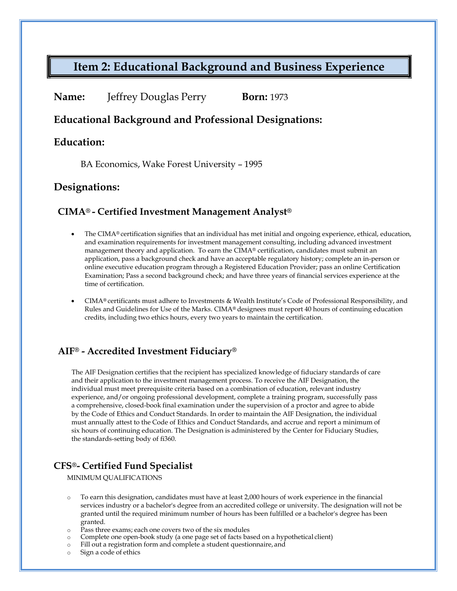# **Item 2: Educational Background and Business Experience**

| Name: | <b>Jeffrey Douglas Perry</b> | <b>Born:</b> 1973 |
|-------|------------------------------|-------------------|
|-------|------------------------------|-------------------|

#### **Educational Background and Professional Designations:**

#### **Education:**

BA Economics, Wake Forest University – 1995

#### **Designations:**

#### **CIMA® - Certified Investment Management Analyst®**

- The CIMA® certification signifies that an individual has met initial and ongoing experience, ethical, education, and examination requirements for investment management consulting, including advanced investment management theory and application. To earn the CIMA® certification, candidates must submit an application, pass a background check and have an acceptable regulatory history; complete an in-person or online executive education program through a Registered Education Provider; pass an online Certification Examination; Pass a second background check; and have three years of financial services experience at the time of certification.
- CIMA**®** certificants must adhere to Investments & Wealth Institute's Code of Professional Responsibility, and Rules and Guidelines for Use of the Marks. CIMA**®** designees must report 40 hours of continuing education credits, including two ethics hours, every two years to maintain the certification.

#### **AIF® - Accredited Investment Fiduciary®**

The AIF Designation certifies that the recipient has specialized knowledge of fiduciary standards of care and their application to the investment management process. To receive the AIF Designation, the individual must meet prerequisite criteria based on a combination of education, relevant industry experience, and/or ongoing professional development, complete a training program, successfully pass a comprehensive, closed‐book final examination under the supervision of a proctor and agree to abide by the Code of Ethics and Conduct Standards. In order to maintain the AIF Designation, the individual must annually attest to the Code of Ethics and Conduct Standards, and accrue and report a minimum of six hours of continuing education. The Designation is administered by the Center for Fiduciary Studies, the standards‐setting body of fi360.

#### **CFS®- Certified Fund Specialist**

MINIMUM QUALIFICATIONS

- o To earn this designation, candidates must have at least 2,000 hours of work experience in the financial services industry or a bachelor's degree from an accredited college or university. The designation will not be granted until the required minimum number of hours has been fulfilled or a bachelor's degree has been granted.
- o Pass three exams; each one covers two of the six modules
- o Complete one open-book study (a one page set of facts based on a hypothetical client)
- o Fill out a registration form and complete a student questionnaire, and
- o Sign a code of ethics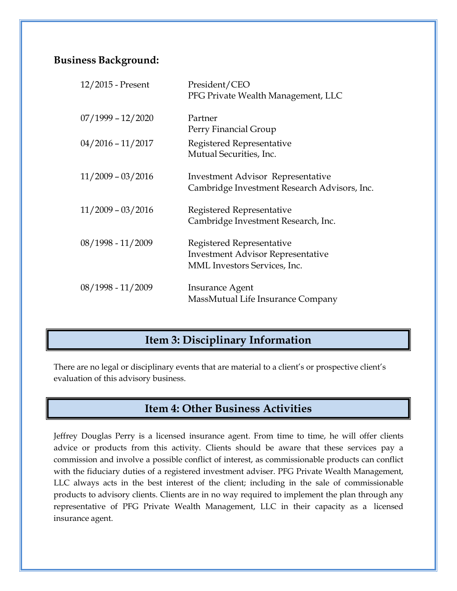### **Business Background:**

| 12/2015 - Present   | President/CEO                                |
|---------------------|----------------------------------------------|
|                     | PFG Private Wealth Management, LLC           |
| $07/1999 - 12/2020$ | Partner                                      |
|                     | Perry Financial Group                        |
| $04/2016 - 11/2017$ | Registered Representative                    |
|                     | Mutual Securities, Inc.                      |
| $11/2009 - 03/2016$ | <b>Investment Advisor Representative</b>     |
|                     | Cambridge Investment Research Advisors, Inc. |
|                     |                                              |
| $11/2009 - 03/2016$ | Registered Representative                    |
|                     | Cambridge Investment Research, Inc.          |
| 08/1998 - 11/2009   | Registered Representative                    |
|                     | <b>Investment Advisor Representative</b>     |
|                     | <b>MML</b> Investors Services, Inc.          |
| 08/1998 - 11/2009   | Insurance Agent                              |
|                     | MassMutual Life Insurance Company            |
|                     |                                              |

# **Item 3: Disciplinary Information**

There are no legal or disciplinary events that are material to a client's or prospective client's evaluation of this advisory business.

# **Item 4: Other Business Activities**

Jeffrey Douglas Perry is a licensed insurance agent. From time to time, he will offer clients advice or products from this activity. Clients should be aware that these services pay a commission and involve a possible conflict of interest, as commissionable products can conflict with the fiduciary duties of a registered investment adviser. PFG Private Wealth Management, LLC always acts in the best interest of the client; including in the sale of commissionable products to advisory clients. Clients are in no way required to implement the plan through any representative of PFG Private Wealth Management, LLC in their capacity as a licensed insurance agent.